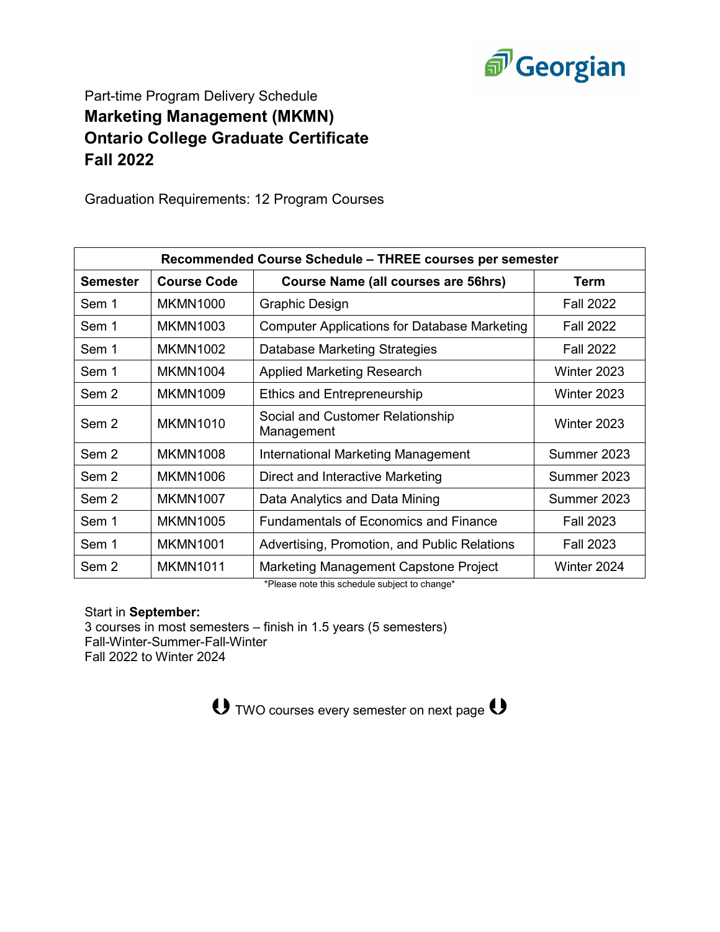

## Part-time Program Delivery Schedule **Marketing Management (MKMN) Ontario College Graduate Certificate Fall 2022**

Graduation Requirements: 12 Program Courses

| Recommended Course Schedule – THREE courses per semester |                    |                                                     |                  |  |
|----------------------------------------------------------|--------------------|-----------------------------------------------------|------------------|--|
| <b>Semester</b>                                          | <b>Course Code</b> | <b>Course Name (all courses are 56hrs)</b>          | Term             |  |
| Sem 1                                                    | <b>MKMN1000</b>    | <b>Graphic Design</b>                               | <b>Fall 2022</b> |  |
| Sem 1                                                    | <b>MKMN1003</b>    | <b>Computer Applications for Database Marketing</b> | <b>Fall 2022</b> |  |
| Sem 1                                                    | <b>MKMN1002</b>    | Database Marketing Strategies                       | <b>Fall 2022</b> |  |
| Sem 1                                                    | <b>MKMN1004</b>    | <b>Applied Marketing Research</b>                   | Winter 2023      |  |
| Sem 2                                                    | <b>MKMN1009</b>    | Ethics and Entrepreneurship                         | Winter 2023      |  |
| Sem 2                                                    | <b>MKMN1010</b>    | Social and Customer Relationship<br>Management      | Winter 2023      |  |
| Sem 2                                                    | <b>MKMN1008</b>    | International Marketing Management                  | Summer 2023      |  |
| Sem 2                                                    | <b>MKMN1006</b>    | Direct and Interactive Marketing                    | Summer 2023      |  |
| Sem 2                                                    | <b>MKMN1007</b>    | Data Analytics and Data Mining                      | Summer 2023      |  |
| Sem 1                                                    | <b>MKMN1005</b>    | <b>Fundamentals of Economics and Finance</b>        | <b>Fall 2023</b> |  |
| Sem 1                                                    | <b>MKMN1001</b>    | Advertising, Promotion, and Public Relations        | <b>Fall 2023</b> |  |
| Sem 2                                                    | <b>MKMN1011</b>    | Marketing Management Capstone Project               | Winter 2024      |  |

\*Please note this schedule subject to change\*

Start in **September:**

3 courses in most semesters – finish in 1.5 years (5 semesters) Fall-Winter-Summer-Fall-Winter Fall 2022 to Winter 2024

**U** TWO courses every semester on next page **U**